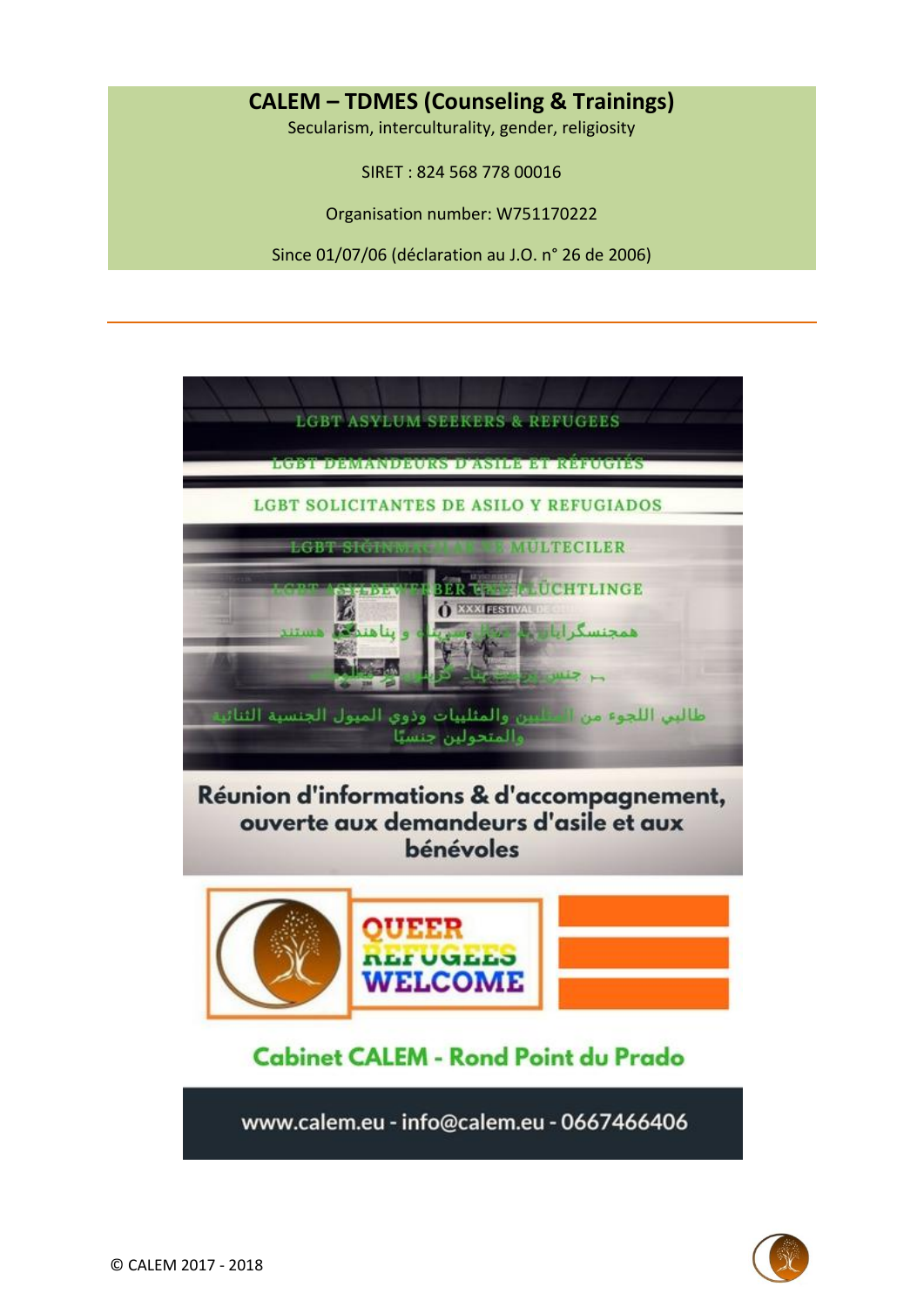## **CALEM – TDMES (Counseling & Trainings)**

Secularism, interculturality, gender, religiosity

SIRET : 824 568 778 00016

Organisation number: W751170222

Since 01/07/06 (déclaration au J.O. n° 26 de 2006)

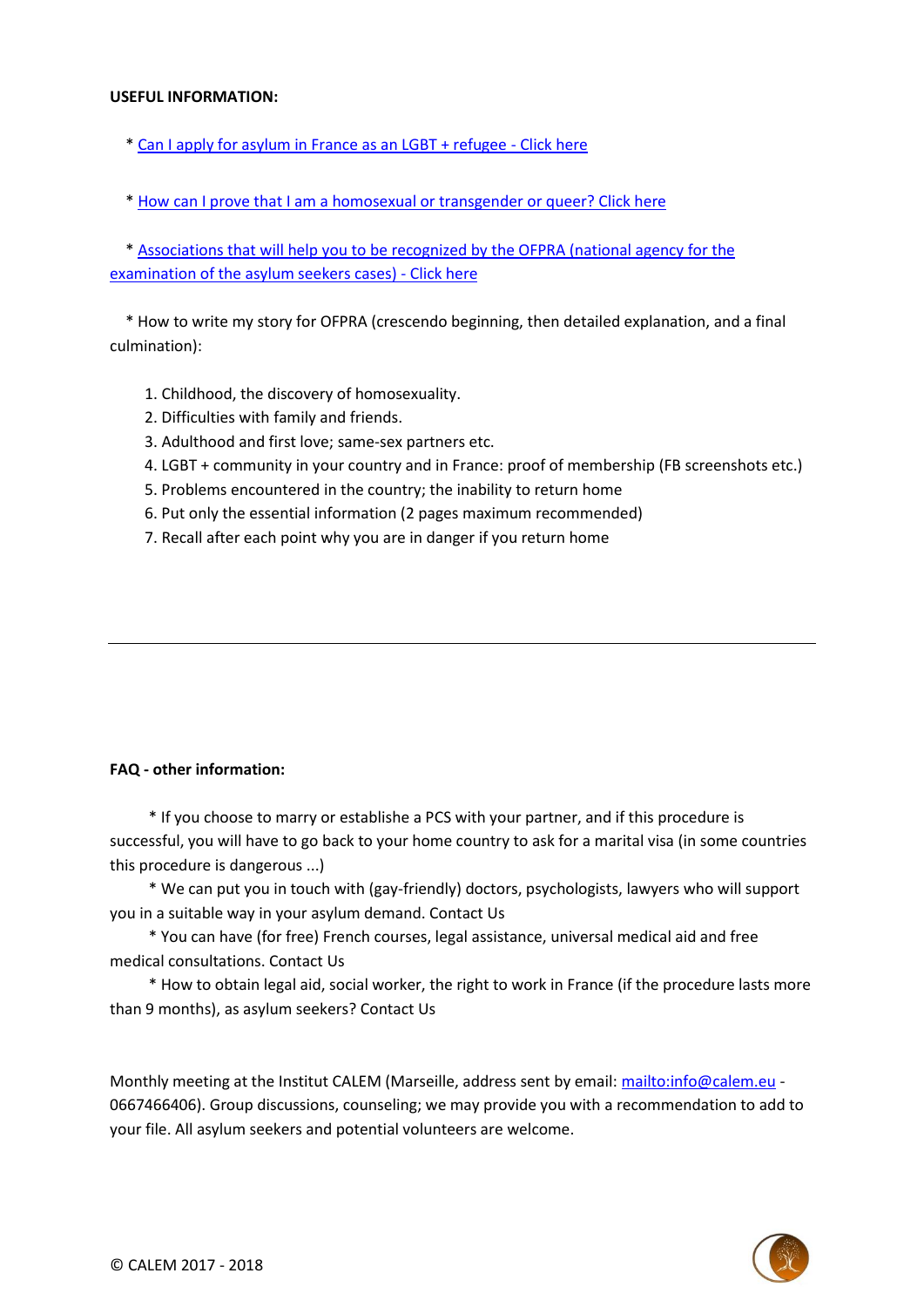## **USEFUL INFORMATION:**

- \* [Can I apply for asylum in France as an LGBT + refugee -](mailto:http://www.gisti.org/spip.php?article5153) Click here
- \* [How can I prove that I am a homosexual or transgender or queer? Click here](mailto:http://m.slate.fr/story/100943/droit-dasile-preuve-homosexualite)

 \* [Associations that will help you to be recognized by the OFPRA \(national agency for the](mailto:https://ofpra.gouv.fr/sites/default/files/atoms/files/decision_du_2_mars_2017_habilitation_associations.pdf)  [examination of the asylum seekers cases\) -](mailto:https://ofpra.gouv.fr/sites/default/files/atoms/files/decision_du_2_mars_2017_habilitation_associations.pdf) Click here

 \* How to write my story for OFPRA (crescendo beginning, then detailed explanation, and a final culmination):

- 1. Childhood, the discovery of homosexuality.
- 2. Difficulties with family and friends.
- 3. Adulthood and first love; same-sex partners etc.
- 4. LGBT + community in your country and in France: proof of membership (FB screenshots etc.)
- 5. Problems encountered in the country; the inability to return home
- 6. Put only the essential information (2 pages maximum recommended)
- 7. Recall after each point why you are in danger if you return home

## **FAQ - other information:**

 \* If you choose to marry or establishe a PCS with your partner, and if this procedure is successful, you will have to go back to your home country to ask for a marital visa (in some countries this procedure is dangerous ...)

 \* We can put you in touch with (gay-friendly) doctors, psychologists, lawyers who will support you in a suitable way in your asylum demand. Contact Us

 \* You can have (for free) French courses, legal assistance, universal medical aid and free medical consultations. Contact Us

 \* How to obtain legal aid, social worker, the right to work in France (if the procedure lasts more than 9 months), as asylum seekers? Contact Us

Monthly meeting at the Institut CALEM (Marseille, address sent by email:<mailto:info@calem.eu> -0667466406). Group discussions, counseling; we may provide you with a recommendation to add to your file. All asylum seekers and potential volunteers are welcome.